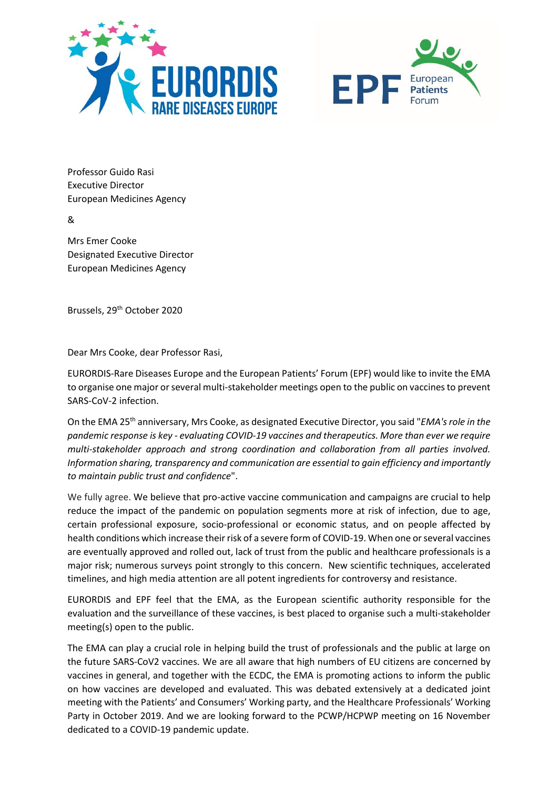



Professor Guido Rasi Executive Director European Medicines Agency

&

Mrs Emer Cooke Designated Executive Director European Medicines Agency

Brussels, 29th October 2020

Dear Mrs Cooke, dear Professor Rasi,

EURORDIS-Rare Diseases Europe and the European Patients' Forum (EPF) would like to invite the EMA to organise one major or several multi-stakeholder meetings open to the public on vaccines to prevent SARS-CoV-2 infection.

On the EMA 25th anniversary, Mrs Cooke, as designated Executive Director, you said "*EMA's role in the pandemic response is key - evaluating COVID-19 vaccines and therapeutics. More than ever we require multi-stakeholder approach and strong coordination and collaboration from all parties involved. Information sharing, transparency and communication are essential to gain efficiency and importantly to maintain public trust and confidence*".

We fully agree. We believe that pro-active vaccine communication and campaigns are crucial to help reduce the impact of the pandemic on population segments more at risk of infection, due to age, certain professional exposure, socio-professional or economic status, and on people affected by health conditions which increase their risk of a severe form of COVID-19. When one or several vaccines are eventually approved and rolled out, lack of trust from the public and healthcare professionals is a major risk; numerous surveys point strongly to this concern. New scientific techniques, accelerated timelines, and high media attention are all potent ingredients for controversy and resistance.

EURORDIS and EPF feel that the EMA, as the European scientific authority responsible for the evaluation and the surveillance of these vaccines, is best placed to organise such a multi-stakeholder meeting(s) open to the public.

The EMA can play a crucial role in helping build the trust of professionals and the public at large on the future SARS-CoV2 vaccines. We are all aware that high numbers of EU citizens are concerned by vaccines in general, and together with the ECDC, the EMA is promoting actions to inform the public on how vaccines are developed and evaluated. This was debated extensively at a dedicated joint meeting with the Patients' and Consumers' Working party, and the Healthcare Professionals' Working Party in October 2019. And we are looking forward to the PCWP/HCPWP meeting on 16 November dedicated to a COVID-19 pandemic update.